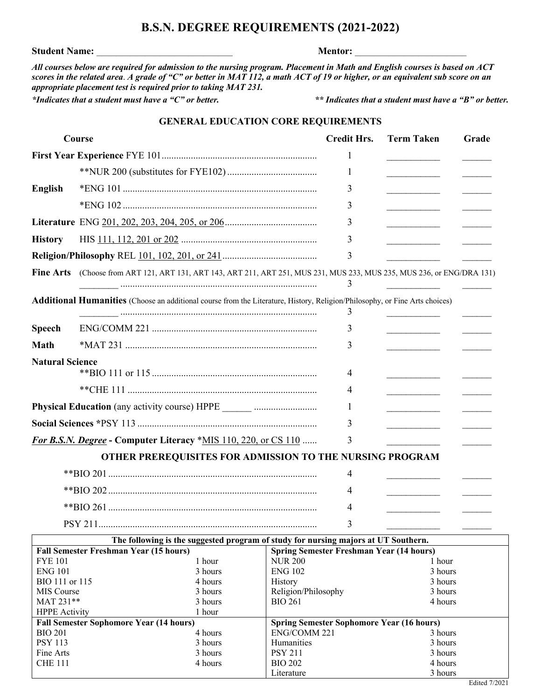# Edited 7/2021

## **B.S.N. DEGREE REQUIREMENTS (2021-2022)**

#### **Student Name:** \_\_\_\_\_\_\_\_\_\_\_\_\_\_\_\_\_\_\_\_\_\_\_\_\_\_\_\_ **Mentor:** \_\_\_\_\_\_\_\_\_\_\_\_\_\_\_\_\_\_\_\_\_\_\_

ENG 102 3 hours History 3 hours Religion/Philosophy 3 hours BIO 261 4 hours

**Spring Semester Sophomore Year (16 hours)** ENG/COMM 221 3 hours Humanities 3 hours PSY 211 3 hours BIO 202 4 hours Literature 3 hours

*All courses below are required for admission to the nursing program. Placement in Math and English courses is based on ACT scores in the related area*. *A grade of "C" or better in MAT 112, a math ACT of 19 or higher, or an equivalent sub score on an appropriate placement test is required prior to taking MAT 231.*

ENG 101 3 hours BIO 111 or 115 4 hours MIS Course 3 hours MAT 231<sup>\*\*</sup> 3 hours HPPE Activity 1 hour

**Fall Semester Sophomore Year (14 hours)** BIO 201 4 hours PSY 113 3 hours Fine Arts 3 hours CHE 111 4 hours

*\*Indicates that a student must have a "C" or better. \*\* Indicates that a student must have a "B" or better.*

#### **GENERAL EDUCATION CORE REQUIREMENTS**

| Course                                                                             |                                                                                                                             | <b>Credit Hrs.</b>                                                | <b>Term Taken</b>                               | Grade |  |  |
|------------------------------------------------------------------------------------|-----------------------------------------------------------------------------------------------------------------------------|-------------------------------------------------------------------|-------------------------------------------------|-------|--|--|
|                                                                                    |                                                                                                                             | 1                                                                 |                                                 |       |  |  |
|                                                                                    |                                                                                                                             | 1                                                                 | <u> 1990 - Johann Barbara, martin a</u>         |       |  |  |
| <b>English</b>                                                                     |                                                                                                                             | 3                                                                 |                                                 |       |  |  |
|                                                                                    |                                                                                                                             | 3                                                                 |                                                 |       |  |  |
|                                                                                    |                                                                                                                             | 3                                                                 |                                                 |       |  |  |
| <b>History</b>                                                                     |                                                                                                                             | 3                                                                 |                                                 |       |  |  |
| <b>Religion/Philosophy REL 101, 102, 201, or 241 </b>                              |                                                                                                                             | 3                                                                 |                                                 |       |  |  |
|                                                                                    | Fine Arts (Choose from ART 121, ART 131, ART 143, ART 211, ART 251, MUS 231, MUS 233, MUS 235, MUS 236, or ENG/DRA 131)     | 3                                                                 |                                                 |       |  |  |
|                                                                                    | Additional Humanities (Choose an additional course from the Literature, History, Religion/Philosophy, or Fine Arts choices) | 3                                                                 |                                                 |       |  |  |
| <b>Speech</b>                                                                      |                                                                                                                             | 3                                                                 |                                                 |       |  |  |
| <b>Math</b>                                                                        |                                                                                                                             | 3                                                                 |                                                 |       |  |  |
| <b>Natural Science</b>                                                             |                                                                                                                             |                                                                   |                                                 |       |  |  |
|                                                                                    |                                                                                                                             | 4                                                                 |                                                 |       |  |  |
|                                                                                    |                                                                                                                             | 4                                                                 |                                                 |       |  |  |
|                                                                                    |                                                                                                                             | 1                                                                 | <u> 1990 - Johann Barbara, martin a</u>         |       |  |  |
|                                                                                    |                                                                                                                             | 3                                                                 |                                                 |       |  |  |
|                                                                                    | For B.S.N. Degree - Computer Literacy *MIS 110, 220, or CS 110                                                              | 3                                                                 |                                                 |       |  |  |
|                                                                                    | OTHER PREREQUISITES FOR ADMISSION TO THE NURSING PROGRAM                                                                    |                                                                   |                                                 |       |  |  |
|                                                                                    |                                                                                                                             | 4                                                                 |                                                 |       |  |  |
|                                                                                    |                                                                                                                             | 4                                                                 |                                                 |       |  |  |
|                                                                                    |                                                                                                                             | 4                                                                 | <u> 1999 - Johann Barnett, fransk politiker</u> |       |  |  |
|                                                                                    |                                                                                                                             | 3                                                                 |                                                 |       |  |  |
| The following is the suggested program of study for nursing majors at UT Southern. |                                                                                                                             |                                                                   |                                                 |       |  |  |
| <b>Fall Semester Freshman Year (15 hours)</b><br>1 hour<br><b>FYE 101</b>          |                                                                                                                             | <b>Spring Semester Freshman Year (14 hours)</b><br><b>NUR 200</b> | 1 hour                                          |       |  |  |
|                                                                                    |                                                                                                                             |                                                                   |                                                 |       |  |  |